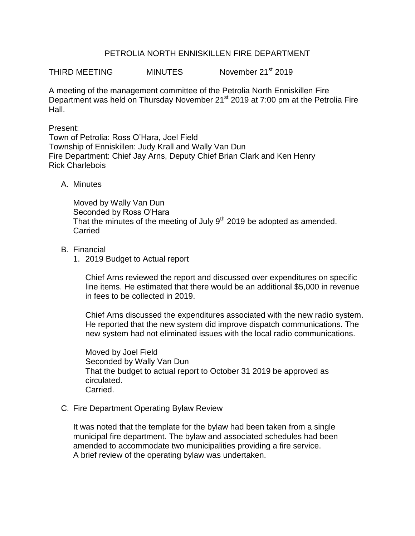# PETROLIA NORTH ENNISKILLEN FIRE DEPARTMENT

THIRD MEETING MINUTES November 21<sup>st</sup> 2019

A meeting of the management committee of the Petrolia North Enniskillen Fire Department was held on Thursday November 21<sup>st</sup> 2019 at 7:00 pm at the Petrolia Fire Hall.

### Present:

Town of Petrolia: Ross O'Hara, Joel Field Township of Enniskillen: Judy Krall and Wally Van Dun Fire Department: Chief Jay Arns, Deputy Chief Brian Clark and Ken Henry Rick Charlebois

# A. Minutes

Moved by Wally Van Dun Seconded by Ross O'Hara That the minutes of the meeting of July  $9<sup>th</sup>$  2019 be adopted as amended. **Carried** 

# B. Financial

1. 2019 Budget to Actual report

Chief Arns reviewed the report and discussed over expenditures on specific line items. He estimated that there would be an additional \$5,000 in revenue in fees to be collected in 2019.

Chief Arns discussed the expenditures associated with the new radio system. He reported that the new system did improve dispatch communications. The new system had not eliminated issues with the local radio communications.

Moved by Joel Field Seconded by Wally Van Dun That the budget to actual report to October 31 2019 be approved as circulated. Carried.

#### C. Fire Department Operating Bylaw Review

It was noted that the template for the bylaw had been taken from a single municipal fire department. The bylaw and associated schedules had been amended to accommodate two municipalities providing a fire service. A brief review of the operating bylaw was undertaken.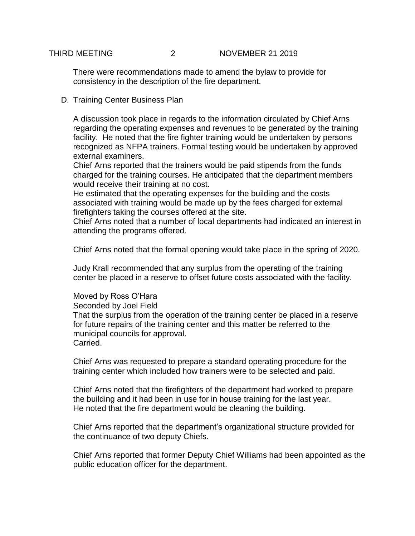There were recommendations made to amend the bylaw to provide for consistency in the description of the fire department.

D. Training Center Business Plan

A discussion took place in regards to the information circulated by Chief Arns regarding the operating expenses and revenues to be generated by the training facility. He noted that the fire fighter training would be undertaken by persons recognized as NFPA trainers. Formal testing would be undertaken by approved external examiners.

Chief Arns reported that the trainers would be paid stipends from the funds charged for the training courses. He anticipated that the department members would receive their training at no cost.

He estimated that the operating expenses for the building and the costs associated with training would be made up by the fees charged for external firefighters taking the courses offered at the site.

Chief Arns noted that a number of local departments had indicated an interest in attending the programs offered.

Chief Arns noted that the formal opening would take place in the spring of 2020.

Judy Krall recommended that any surplus from the operating of the training center be placed in a reserve to offset future costs associated with the facility.

#### Moved by Ross O'Hara

Seconded by Joel Field

That the surplus from the operation of the training center be placed in a reserve for future repairs of the training center and this matter be referred to the municipal councils for approval. Carried.

Chief Arns was requested to prepare a standard operating procedure for the training center which included how trainers were to be selected and paid.

Chief Arns noted that the firefighters of the department had worked to prepare the building and it had been in use for in house training for the last year. He noted that the fire department would be cleaning the building.

Chief Arns reported that the department's organizational structure provided for the continuance of two deputy Chiefs.

Chief Arns reported that former Deputy Chief Williams had been appointed as the public education officer for the department.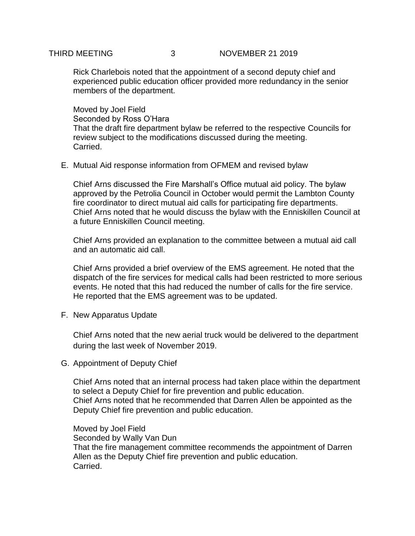# THIRD MEETING 3 NOVEMBER 21 2019

Rick Charlebois noted that the appointment of a second deputy chief and experienced public education officer provided more redundancy in the senior members of the department.

Moved by Joel Field Seconded by Ross O'Hara That the draft fire department bylaw be referred to the respective Councils for review subject to the modifications discussed during the meeting. Carried.

E. Mutual Aid response information from OFMEM and revised bylaw

Chief Arns discussed the Fire Marshall's Office mutual aid policy. The bylaw approved by the Petrolia Council in October would permit the Lambton County fire coordinator to direct mutual aid calls for participating fire departments. Chief Arns noted that he would discuss the bylaw with the Enniskillen Council at a future Enniskillen Council meeting.

Chief Arns provided an explanation to the committee between a mutual aid call and an automatic aid call.

Chief Arns provided a brief overview of the EMS agreement. He noted that the dispatch of the fire services for medical calls had been restricted to more serious events. He noted that this had reduced the number of calls for the fire service. He reported that the EMS agreement was to be updated.

F. New Apparatus Update

Chief Arns noted that the new aerial truck would be delivered to the department during the last week of November 2019.

G. Appointment of Deputy Chief

Chief Arns noted that an internal process had taken place within the department to select a Deputy Chief for fire prevention and public education. Chief Arns noted that he recommended that Darren Allen be appointed as the Deputy Chief fire prevention and public education.

Moved by Joel Field Seconded by Wally Van Dun That the fire management committee recommends the appointment of Darren Allen as the Deputy Chief fire prevention and public education. Carried.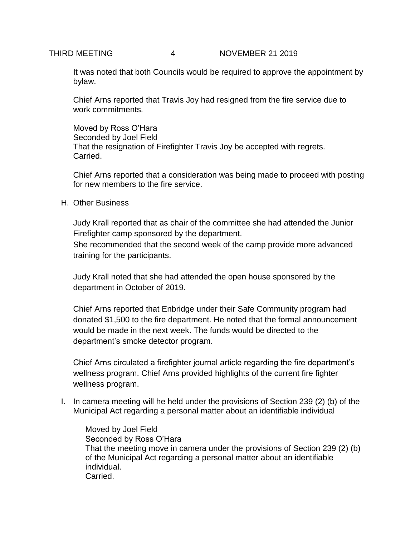It was noted that both Councils would be required to approve the appointment by bylaw.

Chief Arns reported that Travis Joy had resigned from the fire service due to work commitments.

Moved by Ross O'Hara Seconded by Joel Field That the resignation of Firefighter Travis Joy be accepted with regrets. Carried.

Chief Arns reported that a consideration was being made to proceed with posting for new members to the fire service.

# H. Other Business

Judy Krall reported that as chair of the committee she had attended the Junior Firefighter camp sponsored by the department.

She recommended that the second week of the camp provide more advanced training for the participants.

Judy Krall noted that she had attended the open house sponsored by the department in October of 2019.

Chief Arns reported that Enbridge under their Safe Community program had donated \$1,500 to the fire department. He noted that the formal announcement would be made in the next week. The funds would be directed to the department's smoke detector program.

Chief Arns circulated a firefighter journal article regarding the fire department's wellness program. Chief Arns provided highlights of the current fire fighter wellness program.

I. In camera meeting will he held under the provisions of Section 239 (2) (b) of the Municipal Act regarding a personal matter about an identifiable individual

Moved by Joel Field Seconded by Ross O'Hara That the meeting move in camera under the provisions of Section 239 (2) (b) of the Municipal Act regarding a personal matter about an identifiable individual. Carried.